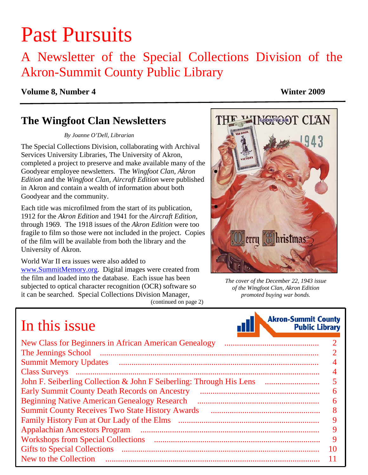# Past Pursuits

### A Newsletter of the Special Collections Division of the Akron-Summit County Public Library

#### **Volume 8, Number 4 Winter 2009**

### **The Wingfoot Clan Newsletters**

*By Joanne O'Dell, Librarian* 

The Special Collections Division, collaborating with Archival Services University Libraries, The University of Akron, completed a project to preserve and make available many of the Goodyear employee newsletters. The *Wingfoot Clan, Akron Edition* and the *Wingfoot Clan, Aircraft Edition* were published in Akron and contain a wealth of information about both Goodyear and the community.

Each title was microfilmed from the start of its publication, 1912 for the *Akron Edition* and 1941 for the *Aircraft Edition,* through 1969. The 1918 issues of the *Akron Edition* were too fragile to film so those were not included in the project. Copies of the film will be available from both the library and the University of Akron.

World War II era issues were also added to www.SummitMemory.org. Digital images were created from the film and loaded into the database. Each issue has been subjected to optical character recognition (OCR) software so it can be searched. Special Collections Division Manager,

#### [\(continued on page 2\)](#page-1-0)



*The cover of the December 22, 1943 issue of the Wingfoot Clan, Akron Edition promoted buying war bonds.* 

**Akron-Summit County** 

**Public Library** 

## In this issue

| <u> The Communication of the Communication of the Communication of the Communication of the Communication of the Communication of the Communication of the Communication of the Communication of the Communication of the Commun</u> |                |
|--------------------------------------------------------------------------------------------------------------------------------------------------------------------------------------------------------------------------------------|----------------|
|                                                                                                                                                                                                                                      |                |
|                                                                                                                                                                                                                                      | $\overline{2}$ |
|                                                                                                                                                                                                                                      | $\overline{4}$ |
| Class Surveys (and all and all and all and all and all and all and all and all and all and all and all and all and all and all and all and all and all and all and all and all and all and all and all and all and all and all       | 4              |
| John F. Seiberling Collection & John F Seiberling: Through His Lens                                                                                                                                                                  | 5 <sup>5</sup> |
| <b>Early Summit County Death Records on Ancestry</b>                                                                                                                                                                                 | 6              |
|                                                                                                                                                                                                                                      | 6              |
| <b>Summit County Receives Two State History Awards</b>                                                                                                                                                                               | 8              |
|                                                                                                                                                                                                                                      | 9              |
|                                                                                                                                                                                                                                      | 9              |
|                                                                                                                                                                                                                                      | 9              |
|                                                                                                                                                                                                                                      | 10             |
|                                                                                                                                                                                                                                      | 11             |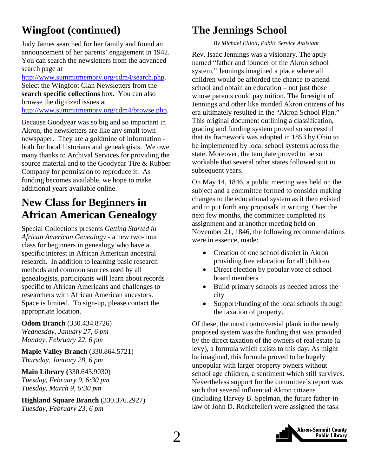### <span id="page-1-0"></span>**Wingfoot (continued)**

Judy James searched for her family and found an announcement of her parents' engagement in 1942. You can search the newsletters from the advanced search page at

http://www.summitmemory.org/cdm4/search.php. Select the Wingfoot Clan Newsletters from the **search specific collections** box. You can also browse the digitized issues at http://www.summitmemory.org/cdm4/browse.php.

Because Goodyear was so big and so important in Akron, the newsletters are like any small town newspaper. They are a goldmine of information both for local historians and genealogists. We owe many thanks to Archival Services for providing the source material and to the Goodyear Tire & Rubber Company for permission to reproduce it. As funding becomes available, we hope to make additional years available online.

### **New Class for Beginners in African American Genealogy**

Special Collections presents *Getting Started in African American Genealogy* - a new two-hour class for beginners in genealogy who have a specific interest in African American ancestral research. In addition to learning basic research methods and common sources used by all genealogists, participants will learn about records specific to African Americans and challenges to researchers with African American ancestors. Space is limited. To sign-up, please contact the appropriate location.

#### **Odom Branch** (330.434.8726)

*Wednesday, January 27, 6 pm Monday, February 22, 6 pm*

**Maple Valley Branch** (330.864.5721) *Thursday, January 28, 6 pm* 

#### **Main Library (**330.643.9030) *Tuesday, February 9, 6:30 pm Tuesday, March 9, 6:30 pm*

**Highland Square Branch** (330.376.2927) *Tuesday, February 23, 6 pm*

### **The Jennings School**

*By Michael Elliott, Public Service Assistant* 

Rev. Isaac Jennings was a visionary. The aptly named "father and founder of the Akron school system," Jennings imagined a place where all children would be afforded the chance to attend school and obtain an education – not just those whose parents could pay tuition. The foresight of Jennings and other like minded Akron citizens of his era ultimately resulted in the "Akron School Plan." This original document outlining a classification, grading and funding system proved so successful that its framework was adopted in 1853 by Ohio to be implemented by local school systems across the state. Moreover, the template proved to be so workable that several other states followed suit in subsequent years.

On May 14, 1846, a public meeting was held on the subject and a committee formed to consider making changes to the educational system as it then existed and to put forth any proposals in writing. Over the next few months, the committee completed its assignment and at another meeting held on November 21, 1846, the following recommendations were in essence, made:

- Creation of one school district in Akron providing free education for all children
- Direct election by popular vote of school board members
- Build primary schools as needed across the city
- Support/funding of the local schools through the taxation of property.

Of these, the most controversial plank in the newly proposed system was the funding that was provided by the direct taxation of the owners of real estate (a levy), a formula which exists to this day. As might be imagined, this formula proved to be hugely unpopular with larger property owners without school age children, a sentiment which still survives. Nevertheless support for the committee's report was such that several influential Akron citizens (including Harvey B. Spelman, the future father-inlaw of John D. Rockefeller) were assigned the task

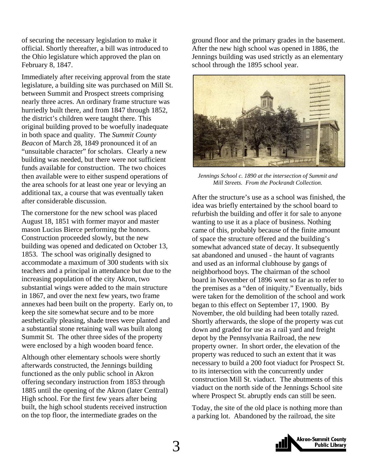of securing the necessary legislation to make it official. Shortly thereafter, a bill was introduced to the Ohio legislature which approved the plan on February 8, 1847.

Immediately after receiving approval from the state legislature, a building site was purchased on Mill St. between Summit and Prospect streets comprising nearly three acres. An ordinary frame structure was hurriedly built there, and from 1847 through 1852, the district's children were taught there. This original building proved to be woefully inadequate in both space and quality. The *Summit County Beacon* of March 28, 1849 pronounced it of an "unsuitable character" for scholars. Clearly a new building was needed, but there were not sufficient funds available for construction. The two choices then available were to either suspend operations of the area schools for at least one year or levying an additional tax, a course that was eventually taken after considerable discussion.

The cornerstone for the new school was placed August 18, 1851 with former mayor and master mason Lucius Bierce performing the honors. Construction proceeded slowly, but the new building was opened and dedicated on October 13, 1853. The school was originally designed to accommodate a maximum of 300 students with six teachers and a principal in attendance but due to the increasing population of the city Akron, two substantial wings were added to the main structure in 1867, and over the next few years, two frame annexes had been built on the property. Early on, to keep the site somewhat secure and to be more aesthetically pleasing, shade trees were planted and a substantial stone retaining wall was built along Summit St. The other three sides of the property were enclosed by a high wooden board fence.

Although other elementary schools were shortly afterwards constructed, the Jennings building functioned as the only public school in Akron offering secondary instruction from 1853 through 1885 until the opening of the Akron (later Central) High school. For the first few years after being built, the high school students received instruction on the top floor, the intermediate grades on the

ground floor and the primary grades in the basement. After the new high school was opened in 1886, the Jennings building was used strictly as an elementary school through the 1895 school year.



*Jennings School c. 1890 at the intersection of Summit and Mill Streets. From the Pockrandt Collection.* 

After the structure's use as a school was finished, the idea was briefly entertained by the school board to refurbish the building and offer it for sale to anyone wanting to use it as a place of business. Nothing came of this, probably because of the finite amount of space the structure offered and the building's somewhat advanced state of decay. It subsequently sat abandoned and unused - the haunt of vagrants and used as an informal clubhouse by gangs of neighborhood boys. The chairman of the school board in November of 1896 went so far as to refer to the premises as a "den of iniquity." Eventually, bids were taken for the demolition of the school and work began to this effect on September 17, 1900. By November, the old building had been totally razed. Shortly afterwards, the slope of the property was cut down and graded for use as a rail yard and freight depot by the Pennsylvania Railroad, the new property owner. In short order, the elevation of the property was reduced to such an extent that it was necessary to build a 200 foot viaduct for Prospect St. to its intersection with the concurrently under construction Mill St. viaduct. The abutments of this viaduct on the north side of the Jennings School site where Prospect St. abruptly ends can still be seen.

Today, the site of the old place is nothing more than a parking lot. Abandoned by the railroad, the site

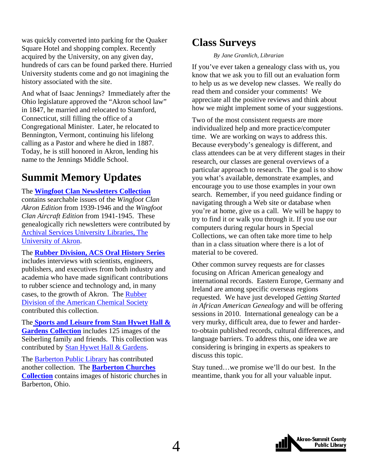<span id="page-3-0"></span>was quickly converted into parking for the Quaker Square Hotel and shopping complex. Recently acquired by the University, on any given day, hundreds of cars can be found parked there. Hurried University students come and go not imagining the history associated with the site.

And what of Isaac Jennings? Immediately after the Ohio legislature approved the "Akron school law" in 1847, he married and relocated to Stamford, Connecticut, still filling the office of a Congregational Minister. Later, he relocated to Bennington, Vermont, continuing his lifelong calling as a Pastor and where he died in 1887. Today, he is still honored in Akron, lending his name to the Jennings Middle School.

### **Summit Memory Updates**

The **[Wingfoot Clan Newsletters Collection](http://www.summitmemory.org/cdm4/browse.php)** contains searchable issues of the *Wingfoot Clan Akron Edition* from 1939-1946 and the *Wingfoot Clan Aircraft Edition* from 1941-1945. These genealogically rich newsletters were contributed by [Archival Services University Libraries, The](http://www3.uakron.edu/ul/archives/) University of Akron.

The **[Rubber Division, ACS Oral History Series](http://www.summitmemory.org/cdm4/browse.php)** includes interviews with scientists, engineers, publishers, and executives from both industry and academia who have made significant contributions to rubber science and technology and, in many [cases, to the growth of Akron. The Rubber](http://rubber.org/)  Division of the American Chemical Society contributed this collection.

The **[Sports and Leisure from Stan Hywet Hall &](http://www.summitmemory.org/cdm4/browse.php)  Gardens Collection** includes 125 images of the Seiberling family and friends. This collection was contributed by [Stan Hywet Hall & Gardens](http://www.stanhywet.org/).

The [Barberton Public Library](http://www.barberton.lib.oh.us/) has contributed another collection. The **Barberton Churches Collection** [contains images of historic churche](http://www.summitmemory.org/cdm4/browse.php)s in Barberton, Ohio.

### **Class Surveys**

#### *By Jane Gramlich, Librarian*

If you've ever taken a genealogy class with us, you know that we ask you to fill out an evaluation form to help us as we develop new classes. We really do read them and consider your comments! We appreciate all the positive reviews and think about how we might implement some of your suggestions.

Two of the most consistent requests are more individualized help and more practice/computer time. We are working on ways to address this. Because everybody's genealogy is different, and class attendees can be at very different stages in their research, our classes are general overviews of a particular approach to research. The goal is to show you what's available, demonstrate examples, and encourage you to use those examples in your own search. Remember, if you need guidance finding or navigating through a Web site or database when you're at home, give us a call. We will be happy to try to find it or walk you through it. If you use our computers during regular hours in Special Collections, we can often take more time to help than in a class situation where there is a lot of material to be covered.

Other common survey requests are for classes focusing on African American genealogy and international records. Eastern Europe, Germany and Ireland are among specific overseas regions requested. We have just developed *Getting Started in African American Genealogy* and will be offering sessions in 2010. International genealogy can be a very murky, difficult area, due to fewer and harderto-obtain published records, cultural differences, and language barriers. To address this, one idea we are considering is bringing in experts as speakers to discuss this topic.

Stay tuned…we promise we'll do our best. In the meantime, thank you for all your valuable input.

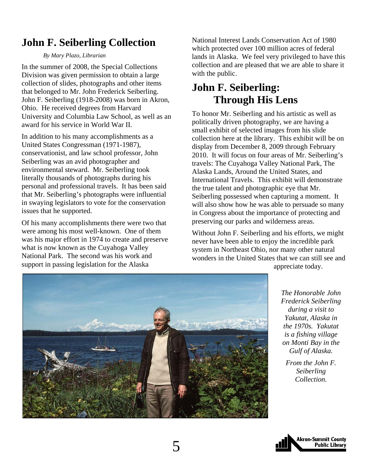### <span id="page-4-0"></span>**John F. Seiberling Collection**

*By Mary Plazo, Librarian* 

In the summer of 2008, the Special Collections Division was given permission to obtain a large collection of slides, photographs and other items that belonged to Mr. John Frederick Seiberling. John F. Seiberling (1918-2008) was born in Akron, Ohio. He received degrees from Harvard University and Columbia Law School, as well as an award for his service in World War II.

In addition to his many accomplishments as a United States Congressman (1971-1987), conservationist, and law school professor, John Seiberling was an avid photographer and environmental steward. Mr. Seiberling took literally thousands of photographs during his personal and professional travels. It has been said that Mr. Seiberling's photographs were influential in swaying legislators to vote for the conservation issues that he supported.

Of his many accomplishments there were two that were among his most well-known. One of them was his major effort in 1974 to create and preserve what is now known as the Cuyahoga Valley National Park. The second was his work and support in passing legislation for the Alaska

National Interest Lands Conservation Act of 1980 which protected over 100 million acres of federal lands in Alaska. We feel very privileged to have this collection and are pleased that we are able to share it with the public.

### **John F. Seiberling: Through His Lens**

To honor Mr. Seiberling and his artistic as well as politically driven photography, we are having a small exhibit of selected images from his slide collection here at the library. This exhibit will be on display from December 8, 2009 through February 2010. It will focus on four areas of Mr. Seiberling's travels: The Cuyahoga Valley National Park, The Alaska Lands, Around the United States, and International Travels. This exhibit will demonstrate the true talent and photographic eye that Mr. Seiberling possessed when capturing a moment. It will also show how he was able to persuade so many in Congress about the importance of protecting and preserving our parks and wilderness areas.

Without John F. Seiberling and his efforts, we might never have been able to enjoy the incredible park system in Northeast Ohio, nor many other natural wonders in the United States that we can still see and appreciate today.



*The Honorable John Frederick Seiberling during a visit to Yakutat, Alaska in the 1970s. Yakutat is a fishing village on Monti Bay in the Gulf of Alaska.* 

*From the John F. Seiberling Collection.* 

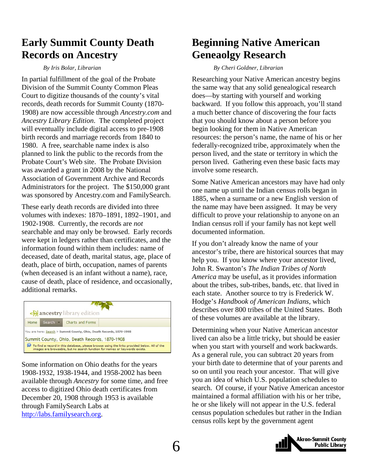### <span id="page-5-0"></span>**Early Summit County Death Records on Ancestry**

#### *By Iris Bolar, Librarian*

In partial fulfillment of the goal of the Probate Division of the Summit County Common Pleas Court to digitize thousands of the county's vital records, death records for Summit County (1870- 1908) are now accessible through *Ancestry.com* and *Ancestry Library Edition*. The completed project will eventually include digital access to pre-1908 birth records and marriage records from 1840 to 1980. A free, searchable name index is also planned to link the public to the records from the Probate Court's Web site. The Probate Division was awarded a grant in 2008 by the National Association of Government Archive and Records Administrators for the project. The \$150,000 grant was sponsored by Ancestry.com and FamilySearch.

These early death records are divided into three volumes with indexes: 1870–1891, 1892–1901, and 1902-1908. Currently, the records are *not* searchable and may only be browsed. Early records were kept in ledgers rather than certificates, and the information found within them includes: name of deceased, date of death, marital status, age, place of death, place of birth, occupation, names of parents (when deceased is an infant without a name), race, cause of death, place of residence, and occasionally, additional remarks.

|      |          | ancestry library edition                                                                                                                                                  |  |
|------|----------|---------------------------------------------------------------------------------------------------------------------------------------------------------------------------|--|
| Home | Search - | Charts and Forms                                                                                                                                                          |  |
|      |          | You are here: Search > Summit County, Ohio, Death Records, 1870-1908<br>Summit County, Ohio, Death Records, 1870-1908                                                     |  |
|      |          | To find a record in this database, please browse using the links provided below. All of the<br>images are browsable, but no search function for names or keywords exists. |  |

Some information on Ohio deaths for the years 1908-1932, 1938-1944, and 1958-2002 has been available through *Ancestry* for some time, and free access to digitized Ohio death certificates from December 20, 1908 through 1953 is available through FamilySearch Labs at http://labs.familysearch.org.

### **Beginning Native American Geneaolgy Research**

#### *By Cheri Goldner, Librarian*

Researching your Native American ancestry begins the same way that any solid genealogical research does—by starting with yourself and working backward. If you follow this approach, you'll stand a much better chance of discovering the four facts that you should know about a person before you begin looking for them in Native American resources: the person's name, the name of his or her federally-recognized tribe, approximately when the person lived, and the state or territory in which the person lived. Gathering even these basic facts may involve some research.

Some Native American ancestors may have had only one name up until the Indian census rolls began in 1885, when a surname or a new English version of the name may have been assigned. It may be very difficult to prove your relationship to anyone on an Indian census roll if your family has not kept well documented information.

If you don't already know the name of your ancestor's tribe, there are historical sources that may help you. If you know where your ancestor lived, John R. Swanton's *The Indian Tribes of North America* may be useful, as it provides information about the tribes, sub-tribes, bands, etc. that lived in each state. Another source to try is Frederick W. Hodge's *Handbook of American Indians*, which describes over 800 tribes of the United States. Both of these volumes are available at the library.

Determining when your Native American ancestor lived can also be a little tricky, but should be easier when you start with yourself and work backwards. As a general rule, you can subtract 20 years from your birth date to determine that of your parents and so on until you reach your ancestor. That will give you an idea of which U.S. population schedules to search. Of course, if your Native American ancestor maintained a formal affiliation with his or her tribe, he or she likely will not appear in the U.S. federal census population schedules but rather in the Indian census rolls kept by the government agent

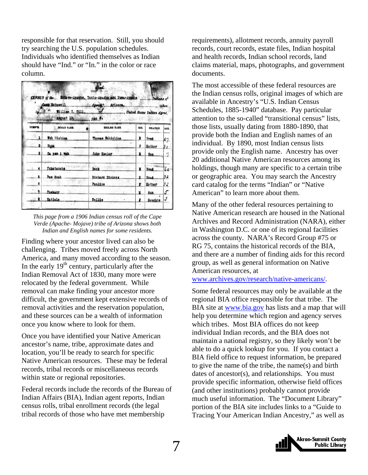responsible for that reservation. Still, you should try searching the U.S. population schedules. Individuals who identified themselves as Indian should have "Ind." or "In." in the color or race column.

| Camp McDowell Agency, Arizona,<br>taken<br>and compared to a second compared<br>William H. Gill.<br>United States Indian Agent.<br>August 10, 190 6. |                    |                      |            |                 |            |  |  |  |
|------------------------------------------------------------------------------------------------------------------------------------------------------|--------------------|----------------------|------------|-----------------|------------|--|--|--|
| <b>NUMB#R</b>                                                                                                                                        | <b>INDIAN NAME</b> | <b>ENGLISH NAME.</b> | <b>SEX</b> | <b>RELATION</b> | <b>AGE</b> |  |  |  |
|                                                                                                                                                      | Woh Hichima        | Thomas Wohichima     | u          | Head            | 37         |  |  |  |
| 2                                                                                                                                                    | <b>Hopa</b>        |                      | y          | Mother          | 30         |  |  |  |
|                                                                                                                                                      | Ca pen 1 vah       | John Keeler          | ĸ          | Son             |            |  |  |  |
|                                                                                                                                                      | Yukatanche         | Dock                 | N          | Head.           | 62         |  |  |  |
|                                                                                                                                                      | Paw Suah           | Richard Dickens      | n.         | Head            | 32         |  |  |  |
| 6                                                                                                                                                    |                    | Pauline              | ,          | Mother          | 32         |  |  |  |
|                                                                                                                                                      | Tuakany.           |                      | u          | Son.            | 5          |  |  |  |
| 8                                                                                                                                                    | Hatisle            | Nellie<br>٠          | 1          | Daughte         | 3          |  |  |  |



Finding where your ancestor lived can also be challenging. Tribes moved freely across North America, and many moved according to the season. In the early  $19<sup>th</sup>$  century, particularly after the Indian Removal Act of 1830, many more were relocated by the federal government. While removal can make finding your ancestor more difficult, the government kept extensive records of removal activities and the reservation population, and these sources can be a wealth of information once you know where to look for them.

Once you have identified your Native American ancestor's name, tribe, approximate dates and location, you'll be ready to search for specific Native American resources. These may be federal records, tribal records or miscellaneous records within state or regional repositories.

Federal records include the records of the Bureau of Indian Affairs (BIA), Indian agent reports, Indian census rolls, tribal enrollment records (the legal tribal records of those who have met membership

requirements), allotment records, annuity payroll records, court records, estate files, Indian hospital and health records, Indian school records, land claims material, maps, photographs, and government documents.

The most accessible of these federal resources are the Indian census rolls, original images of which are available in Ancestry's "U.S. Indian Census Schedules, 1885-1940" database. Pay particular attention to the so-called "transitional census" lists, those lists, usually dating from 1880-1890, that provide both the Indian and English names of an individual. By 1890, most Indian census lists provide only the English name. Ancestry has over 20 additional Native American resources among its holdings, though many are specific to a certain tribe or geographic area. You may search the Ancestry card catalog for the terms "Indian" or "Native American" to learn more about them.

Many of the other federal resources pertaining to Native American research are housed in the National Archives and Record Administration (NARA), either in Washington D.C. or one of its regional facilities across the county. NARA's Record Group #75 or RG 75, contains the historical records of the BIA, and there are a number of finding aids for this record group, as well as general information on Native American resources, at

www.archives.gov/research/native-americans/.

Some federal resources may only be available at the regional BIA office responsible for that tribe. The BIA site at www.bia.gov has lists and a map that will help you determine which region and agency serves which tribes. Most BIA offices do not keep individual Indian records, and the BIA does not maintain a national registry, so they likely won't be able to do a quick lookup for you. If you contact a BIA field office to request information, be prepared to give the name of the tribe, the name(s) and birth dates of ancestor(s), and relationships. You must provide specific information, otherwise field offices (and other institutions) probably cannot provide much useful information. The "Document Library" portion of the BIA site includes links to a "Guide to Tracing Your American Indian Ancestry," as well as

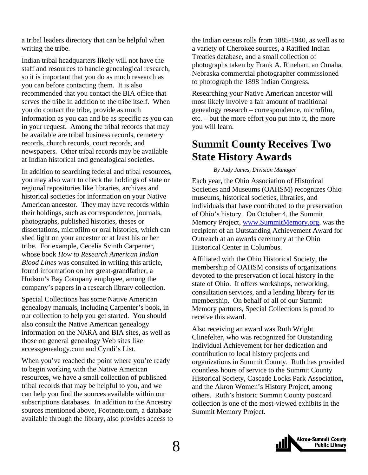<span id="page-7-0"></span>a tribal leaders directory that can be helpful when writing the tribe.

Indian tribal headquarters likely will not have the staff and resources to handle genealogical research, so it is important that you do as much research as you can before contacting them. It is also recommended that you contact the BIA office that serves the tribe in addition to the tribe itself. When you do contact the tribe, provide as much information as you can and be as specific as you can in your request. Among the tribal records that may be available are tribal business records, cemetery records, church records, court records, and newspapers. Other tribal records may be available at Indian historical and genealogical societies.

In addition to searching federal and tribal resources, you may also want to check the holdings of state or regional repositories like libraries, archives and historical societies for information on your Native American ancestor. They may have records within their holdings, such as correspondence, journals, photographs, published histories, theses or dissertations, microfilm or oral histories, which can shed light on your ancestor or at least his or her tribe. For example, Cecelia Svinth Carpenter, whose book *How to Research American Indian Blood Lines* was consulted in writing this article, found information on her great-grandfather, a Hudson's Bay Company employee, among the company's papers in a research library collection.

Special Collections has some Native American genealogy manuals, including Carpenter's book, in our collection to help you get started. You should also consult the Native American genealogy information on the NARA and BIA sites, as well as those on general genealogy Web sites like accessgenealogy.com and Cyndi's List.

When you've reached the point where you're ready to begin working with the Native American resources, we have a small collection of published tribal records that may be helpful to you, and we can help you find the sources available within our subscriptions databases. In addition to the Ancestry sources mentioned above, Footnote.com, a database available through the library, also provides access to

the Indian census rolls from 1885-1940, as well as to a variety of Cherokee sources, a Ratified Indian Treaties database, and a small collection of photographs taken by Frank A. Rinehart, an Omaha, Nebraska commercial photographer commissioned to photograph the 1898 Indian Congress.

Researching your Native American ancestor will most likely involve a fair amount of traditional genealogy research – correspondence, microfilm, etc. – but the more effort you put into it, the more you will learn.

### **Summit County Receives Two State History Awards**

#### *By Judy James, Division Manager*

Each year, the Ohio Association of Historical Societies and Museums (OAHSM) recognizes Ohio museums, historical societies, libraries, and individuals that have contributed to the preservation of Ohio's history. On October 4, the Summit Memory Project, www.SummitMemory.org, was the recipient of an Outstanding Achievement Award for Outreach at an awards ceremony at the Ohio Historical Center in Columbus.

Affiliated with the Ohio Historical Society, the membership of OAHSM consists of organizations devoted to the preservation of local history in the state of Ohio. It offers workshops, networking, consultation services, and a lending library for its membership. On behalf of all of our Summit Memory partners, Special Collections is proud to receive this award.

Also receiving an award was Ruth Wright Clinefelter, who was recognized for Outstanding Individual Achievement for her dedication and contribution to local history projects and organizations in Summit County. Ruth has provided countless hours of service to the Summit County Historical Society, Cascade Locks Park Association, and the Akron Women's History Project, among others. Ruth's historic Summit County postcard collection is one of the most-viewed exhibits in the Summit Memory Project.

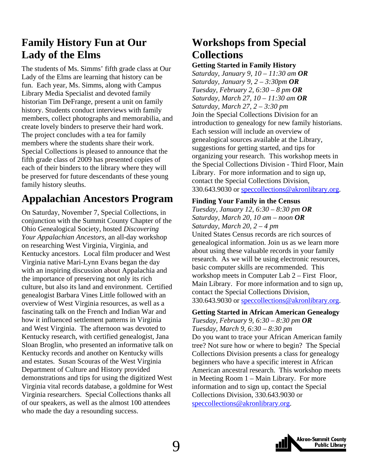### <span id="page-8-0"></span>**Family History Fun at Our Lady of the Elms**

The students of Ms. Simms' fifth grade class at Our Lady of the Elms are learning that history can be fun. Each year, Ms. Simms, along with Campus Library Media Specialist and devoted family historian Tim DeFrange, present a unit on family history. Students conduct interviews with family members, collect photographs and memorabilia, and create lovely binders to preserve their hard work. The project concludes with a tea for family members where the students share their work. Special Collections is pleased to announce that the fifth grade class of 2009 has presented copies of each of their binders to the library where they will be preserved for future descendants of these young family history sleuths.

### **Appalachian Ancestors Program**

On Saturday, November 7, Special Collections, in conjunction with the Summit County Chapter of the Ohio Genealogical Society, hosted *Discovering Your Appalachian Ancestors,* an all-day workshop on researching West Virginia, Virginia, and Kentucky ancestors. Local film producer and West Virginia native Mari-Lynn Evans began the day with an inspiring discussion about Appalachia and the importance of preserving not only its rich culture, but also its land and environment. Certified genealogist Barbara Vines Little followed with an overview of West Virginia resources, as well as a fascinating talk on the French and Indian War and how it influenced settlement patterns in Virginia and West Virginia. The afternoon was devoted to Kentucky research, with certified genealogist, Jana Sloan Broglin, who presented an informative talk on Kentucky records and another on Kentucky wills and estates. Susan Scouras of the West Virginia Department of Culture and History provided demonstrations and tips for using the digitized West Virginia vital records database, a goldmine for West Virginia researchers. Special Collections thanks all of our speakers, as well as the almost 100 attendees who made the day a resounding success.

### **Workshops from Special Collections**

#### **Getting Started in Family History**

*Saturday, January 9, 10 – 11:30 am OR Saturday, January 9, 2 – 3:30pm OR Tuesday, February 2, 6:30 – 8 pm OR Saturday, March 27, 10 – 11:30 am OR Saturday, March 27, 2 – 3:30 pm*  Join the Special Collections Division for an introduction to genealogy for new family historians. Each session will include an overview of genealogical sources available at the Library, suggestions for getting started, and tips for organizing your research. This workshop meets in the Special Collections Division - Third Floor, Main Library. For more information and to sign up, contact the Special Collections Division, 330.643.9030 or speccollections@akronlibrary.org.

#### **Finding Your Family in the Census**

*Tuesday, January 12, 6:30 – 8:30 pm OR Saturday, March 20, 10 am – noon OR Saturday, March 20, 2 – 4 pm* 

United States Census records are rich sources of genealogical information. Join us as we learn more about using these valuable records in your family research. As we will be using electronic resources, basic computer skills are recommended. This workshop meets in Computer Lab 2 – First Floor, Main Library. For more information and to sign up, contact the Special Collections Division, 330.643.9030 or speccollections@akronlibrary.org.

#### **Getting Started in African American Genealogy**  *Tuesday, February 9, 6:30 – 8:30 pm OR Tuesday, March 9, 6:30 – 8:30 pm*

Do you want to trace your African American family tree? Not sure how or where to begin? The Special Collections Division presents a class for genealogy beginners who have a specific interest in African American ancestral research. This workshop meets in Meeting Room 1 – Main Library. For more information and to sign up, contact the Special Collections Division, 330.643.9030 or speccollections@akronlibrary.org.

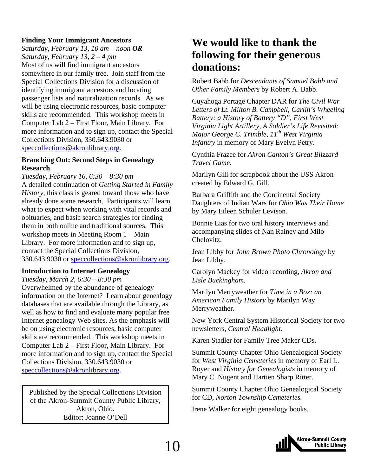#### <span id="page-9-0"></span>**Finding Your Immigrant Ancestors**

*Saturday, February 13, 10 am – noon OR Saturday, February 13, 2 – 4 pm*  Most of us will find immigrant ancestors somewhere in our family tree. Join staff from the Special Collections Division for a discussion of identifying immigrant ancestors and locating passenger lists and naturalization records. As we will be using electronic resources, basic computer skills are recommended. This workshop meets in Computer Lab 2 – First Floor, Main Library. For more information and to sign up, contact the Special Collections Division, 330.643.9030 or speccollections@akronlibrary.org.

#### **Branching Out: Second Steps in Genealogy Research**

*Tuesday, February 16, 6:30 – 8:30 pm*  A detailed continuation of *Getting Started in Family History,* this class is geared toward those who have already done some research. Participants will learn what to expect when working with vital records and obituaries, and basic search strategies for finding them in both online and traditional sources. This workshop meets in Meeting Room 1 – Main Library. For more information and to sign up, contact the Special Collections Division, 330.643.9030 or speccollections@akronlibrary.org.

#### **Introduction to Internet Genealogy**

*Tuesday, March 2, 6:30 – 8:30 pm*  Overwhelmed by the abundance of genealogy information on the Internet? Learn about genealogy databases that are available through the Library, as well as how to find and evaluate many popular free Internet genealogy Web sites. As the emphasis will be on using electronic resources, basic computer skills are recommended. This workshop meets in Computer Lab 2 – First Floor, Main Library. For more information and to sign up, contact the Special Collections Division, 330.643.9030 or speccollections@akronlibrary.org.

Published by the Special Collections Division of the Akron-Summit County Public Library, Akron, Ohio. Editor: Joanne O'Dell

### **We would like to thank the following for their generous donations:**

Robert Babb for *Descendants of Samuel Babb and Other Family Members* by Robert A. Babb.

Cuyahoga Portage Chapter DAR for *The Civil War Letters of Lt. Milton B. Campbell, Carlin's Wheeling Battery: a History of Battery "D", First West Virginia Light Artillery, A Soldier's Life Revisited: Major George C. Trimble, 11th West Virginia Infantry* in memory of Mary Evelyn Petry.

Cynthia Frazee for *Akron Canton's Great Blizzard Travel Game.*

Marilyn Gill for scrapbook about the USS Akron created by Edward G. Gill.

Barbara Griffith and the Continental Society Daughters of Indian Wars for *Ohio Was Their Home*  by Mary Eileen Schuler Levison.

Bonnie Lias for two oral history interviews and accompanying slides of Nan Rainey and Milo Chelovitz.

Jean Libby for *John Brown Photo Chronology* by Jean Libby.

Carolyn Mackey for video recording, *Akron and Lisle Buckingham.*

Marilyn Merryweather for *Time in a Box: an American Family History* by Marilyn Way Merryweather.

New York Central System Historical Society for two newsletters, *Central Headlight.*

Karen Stadler for Family Tree Maker CDs.

Summit County Chapter Ohio Genealogical Society for *West Virginia Cemeteries* in memory of Earl L. Royer and *History for Genealogists* in memory of Mary C. Nugent and Hartien Sharp Ritter.

Summit County Chapter Ohio Genealogical Society for CD, *Norton Township Cemeteries.*

Irene Walker for eight genealogy books.

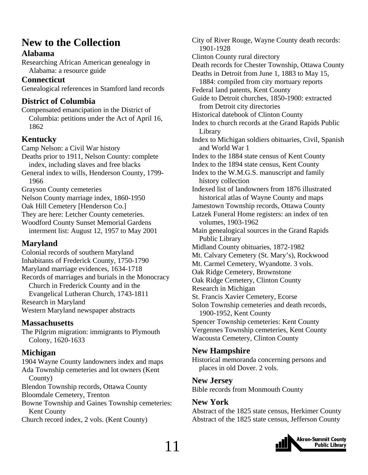### <span id="page-10-0"></span>**New to the Collection**

#### **Alabama**

Researching African American genealogy in Alabama: a resource guide

#### **Connecticut**

Genealogical references in Stamford land records

#### **District of Columbia**

Compensated emancipation in the District of Columbia: petitions under the Act of April 16, 1862

#### **Kentucky**

Camp Nelson: a Civil War history Deaths prior to 1911, Nelson County: complete index, including slaves and free blacks General index to wills, Henderson County, 1799- 1966 Grayson County cemeteries Nelson County marriage index, 1860-1950 Oak Hill Cemetery [Henderson Co.] They are here: Letcher County cemeteries. Woodford County Sunset Memorial Gardens interment list: August 12, 1957 to May 2001

#### **Maryland**

Colonial records of southern Maryland Inhabitants of Frederick County, 1750-1790 Maryland marriage evidences, 1634-1718 Records of marriages and burials in the Monocracy Church in Frederick County and in the Evangelical Lutheran Church, 1743-1811 Research in Maryland Western Maryland newspaper abstracts

#### **Massachusetts**

The Pilgrim migration: immigrants to Plymouth Colony, 1620-1633

#### **Michigan**

1904 Wayne County landowners index and maps Ada Township cemeteries and lot owners (Kent County) Blendon Township records, Ottawa County Bloomdale Cemetery, Trenton Bowne Township and Gaines Township cemeteries: Kent County Church record index, 2 vols. (Kent County)

City of River Rouge, Wayne County death records: 1901-1928 Clinton County rural directory Death records for Chester Township, Ottawa County Deaths in Detroit from June 1, 1883 to May 15, 1884: compiled from city mortuary reports Federal land patents, Kent County Guide to Detroit churches, 1850-1900: extracted from Detroit city directories Historical datebook of Clinton County Index to church records at the Grand Rapids Public Library Index to Michigan soldiers obituaries, Civil, Spanish and World War 1 Index to the 1884 state census of Kent County Index to the 1894 state census, Kent County Index to the W.M.G.S. manuscript and family history collection Indexed list of landowners from 1876 illustrated historical atlas of Wayne County and maps Jamestown Township records, Ottawa County Latzek Funeral Home registers: an index of ten volumes, 1903-1962 Main genealogical sources in the Grand Rapids Public Library Midland County obituaries, 1872-1982 Mt. Calvary Cemetery (St. Mary's), Rockwood Mt. Carmel Cemetery, Wyandotte. 3 vols. Oak Ridge Cemetery, Brownstone Oak Ridge Cemetery, Clinton County Research in Michigan St. Francis Xavier Cemetery, Ecorse Solon Township cemeteries and death records, 1900-1952, Kent County Spencer Township cemeteries: Kent County Vergennes Township cemeteries, Kent County Wacousta Cemetery, Clinton County

#### **New Hampshire**

Historical memoranda concerning persons and places in old Dover. 2 vols.

#### **New Jersey**

Bible records from Monmouth County

#### **New York**

Abstract of the 1825 state census, Herkimer County Abstract of the 1825 state census, Jefferson County

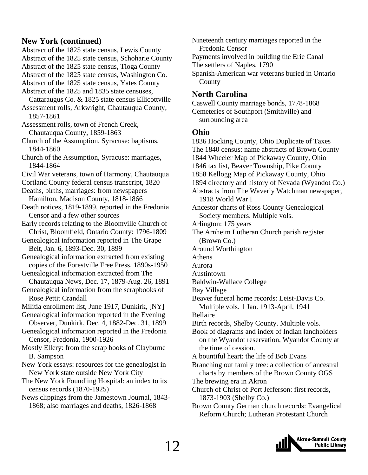#### **New York (continued)**

- Abstract of the 1825 state census, Lewis County Abstract of the 1825 state census, Schoharie County
- Abstract of the 1825 state census, Tioga County
- Abstract of the 1825 state census, Washington Co.
- Abstract of the 1825 state census, Yates County
- Abstract of the 1825 and 1835 state censuses,
- Cattaraugus Co. & 1825 state census Ellicottville Assessment rolls, Arkwright, Chautauqua County,
- 1857-1861 Assessment rolls, town of French Creek,
	- Chautauqua County, 1859-1863
- Church of the Assumption, Syracuse: baptisms, 1844-1860
- Church of the Assumption, Syracuse: marriages, 1844-1864
- Civil War veterans, town of Harmony, Chautauqua
- Cortland County federal census transcript, 1820
- Deaths, births, marriages: from newspapers Hamilton, Madison County, 1818-1866
- Death notices, 1819-1899, reported in the Fredonia Censor and a few other sources
- Early records relating to the Bloomville Church of Christ, Bloomfield, Ontario County: 1796-1809
- Genealogical information reported in The Grape Belt, Jan. 6, 1893-Dec. 30, 1899
- Genealogical information extracted from existing copies of the Forestville Free Press, 1890s-1950
- Genealogical information extracted from The Chautauqua News, Dec. 17, 1879-Aug. 26, 1891
- Genealogical information from the scrapbooks of Rose Pettit Crandall
- Militia enrollment list, June 1917, Dunkirk, [NY] Genealogical information reported in the Evening
- Observer, Dunkirk, Dec. 4, 1882-Dec. 31, 1899 Genealogical information reported in the Fredonia
- Censor, Fredonia, 1900-1926
- Mostly Ellery: from the scrap books of Clayburne B. Sampson
- New York essays: resources for the genealogist in New York state outside New York City
- The New York Foundling Hospital: an index to its census records (1870-1925)
- News clippings from the Jamestown Journal, 1843- 1868; also marriages and deaths, 1826-1868
- Nineteenth century marriages reported in the Fredonia Censor
- Payments involved in building the Erie Canal
- The settlers of Naples, 1790
- Spanish-American war veterans buried in Ontario County

#### **North Carolina**

Caswell County marriage bonds, 1778-1868 Cemeteries of Southport (Smithville) and surrounding area

#### **Ohio**

1836 Hocking County, Ohio Duplicate of Taxes The 1840 census: name abstracts of Brown County 1844 Wheeler Map of Pickaway County, Ohio 1846 tax list, Beaver Township, Pike County 1858 Kellogg Map of Pickaway County, Ohio 1894 directory and history of Nevada (Wyandot Co.) Abstracts from The Waverly Watchman newspaper, 1918 World War I Ancestor charts of Ross County Genealogical Society members. Multiple vols. Arlington: 175 years The Arnheim Lutheran Church parish register (Brown Co.) Around Worthington Athens Aurora Austintown Baldwin-Wallace College Bay Village Beaver funeral home records: Leist-Davis Co. Multiple vols. 1 Jan. 1913-April, 1941 Bellaire Birth records, Shelby County. Multiple vols. Book of diagrams and index of Indian landholders on the Wyandot reservation, Wyandot County at the time of cession. A bountiful heart: the life of Bob Evans Branching out family tree: a collection of ancestral charts by members of the Brown County OGS The brewing era in Akron Church of Christ of Port Jefferson: first records,

- 1873-1903 (Shelby Co.)
- Brown County German church records: Evangelical Reform Church; Lutheran Protestant Church

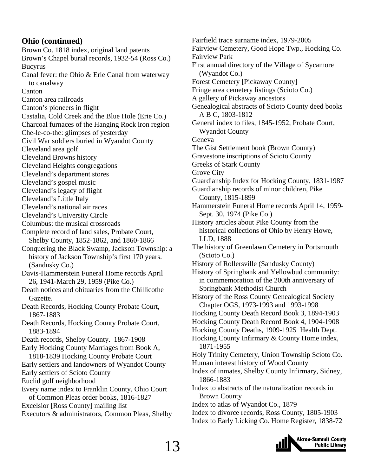#### **Ohio (continued)**

Brown Co. 1818 index, original land patents Brown's Chapel burial records, 1932-54 (Ross Co.) Bucyrus Canal fever: the Ohio & Erie Canal from waterway to canalway Canton Canton area railroads Canton's pioneers in flight Castalia, Cold Creek and the Blue Hole (Erie Co.) Charcoal furnaces of the Hanging Rock iron region Che-le-co-the: glimpses of yesterday Civil War soldiers buried in Wyandot County Cleveland area golf Cleveland Browns history Cleveland Heights congregations Cleveland's department stores Cleveland's gospel music Cleveland's legacy of flight Cleveland's Little Italy Cleveland's national air races Cleveland's University Circle Columbus: the musical crossroads Complete record of land sales, Probate Court, Shelby County, 1852-1862, and 1860-1866 Conquering the Black Swamp, Jackson Township: a history of Jackson Township's first 170 years. (Sandusky Co.) Davis-Hammerstein Funeral Home records April 26, 1941-March 29, 1959 (Pike Co.) Death notices and obituaries from the Chillicothe Gazette. Death Records, Hocking County Probate Court, 1867-1883 Death Records, Hocking County Probate Court, 1883-1894 Death records, Shelby County. 1867-1908 Early Hocking County Marriages from Book A, 1818-1839 Hocking County Probate Court Early settlers and landowners of Wyandot County Early settlers of Scioto County Euclid golf neighborhood Every name index to Franklin County, Ohio Court of Common Pleas order books, 1816-1827 Excelsior [Ross County] mailing list Executors & administrators, Common Pleas, Shelby

Fairfield trace surname index, 1979-2005 Fairview Cemetery, Good Hope Twp., Hocking Co. Fairview Park First annual directory of the Village of Sycamore (Wyandot Co.) Forest Cemetery [Pickaway County] Fringe area cemetery listings (Scioto Co.) A gallery of Pickaway ancestors Genealogical abstracts of Scioto County deed books A B C, 1803-1812 General index to files, 1845-1952, Probate Court, Wyandot County Geneva The Gist Settlement book (Brown County) Gravestone inscriptions of Scioto County Greeks of Stark County Grove City Guardianship Index for Hocking County, 1831-1987 Guardianship records of minor children, Pike County, 1815-1899 Hammerstein Funeral Home records April 14, 1959- Sept. 30, 1974 (Pike Co.) History articles about Pike County from the historical collections of Ohio by Henry Howe, LLD, 1888 The history of Greenlawn Cemetery in Portsmouth (Scioto Co.) History of Rollersville (Sandusky County) History of Springbank and Yellowbud community: in commemoration of the 200th anniversary of Springbank Methodist Church History of the Ross County Genealogical Society Chapter OGS, 1973-1993 and 1993-1998 Hocking County Death Record Book 3, 1894-1903 Hocking County Death Record Book 4, 1904-1908 Hocking County Deaths, 1909-1925 Health Dept. Hocking County Infirmary & County Home index, 1871-1955 Holy Trinity Cemetery, Union Township Scioto Co. Human interest history of Wood County Index of inmates, Shelby County Infirmary, Sidney, 1866-1883 Index to abstracts of the naturalization records in Brown County Index to atlas of Wyandot Co., 1879 Index to divorce records, Ross County, 1805-1903 Index to Early Licking Co. Home Register, 1838-72

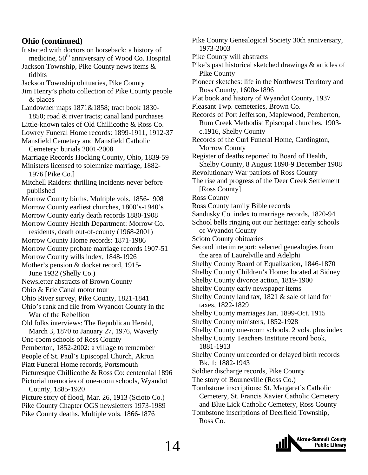#### **Ohio (continued)**

It started with doctors on horseback: a history of medicine,  $50<sup>th</sup>$  anniversary of Wood Co. Hospital Jackson Township, Pike County news items & tidbits Jackson Township obituaries, Pike County Jim Henry's photo collection of Pike County people & places Landowner maps 1871&1858; tract book 1830- 1850; road & river tracts; canal land purchases Little-known tales of Old Chillicothe & Ross Co. Lowrey Funeral Home records: 1899-1911, 1912-37 Mansfield Cemetery and Mansfield Catholic Cemetery: burials 2001-2008 Marriage Records Hocking County, Ohio, 1839-59 Ministers licensed to solemnize marriage, 1882- 1976 [Pike Co.] Mitchell Raiders: thrilling incidents never before published Morrow County births. Multiple vols. 1856-1908 Morrow County earliest churches, 1800's-1940's Morrow County early death records 1880-1908 Morrow County Health Department: Morrow Co. residents, death out-of-county (1968-2001) Morrow County Home records: 1871-1986 Morrow County probate marriage records 1907-51 Morrow County wills index, 1848-1926 Mother's pension & docket record, 1915- June 1932 (Shelly Co.) Newsletter abstracts of Brown County Ohio & Erie Canal motor tour Ohio River survey, Pike County, 1821-1841 Ohio's rank and file from Wyandot County in the War of the Rebellion Old folks interviews: The Republican Herald, March 3, 1870 to January 27, 1976, Waverly One-room schools of Ross County Pemberton, 1852-2002: a village to remember People of St. Paul's Episcopal Church, Akron Piatt Funeral Home records, Portsmouth Picturesque Chillicothe & Ross Co: centennial 1896 Pictorial memories of one-room schools, Wyandot County, 1885-1920 Picture story of flood, Mar. 26, 1913 (Scioto Co.) Pike County Chapter OGS newsletters 1973-1989 Pike County deaths. Multiple vols. 1866-1876

Pike County Genealogical Society 30th anniversary, 1973-2003 Pike County will abstracts Pike's past historical sketched drawings & articles of Pike County Pioneer sketches: life in the Northwest Territory and Ross County, 1600s-1896 Plat book and history of Wyandot County, 1937 Pleasant Twp. cemeteries, Brown Co. Records of Port Jefferson, Maplewood, Pemberton, Rum Creek Methodist Episcopal churches, 1903 c.1916, Shelby County Records of the Curl Funeral Home, Cardington, Morrow County Register of deaths reported to Board of Health, Shelby County, 8 August 1890-9 December 1908 Revolutionary War patriots of Ross County The rise and progress of the Deer Creek Settlement [Ross County] Ross County Ross County family Bible records Sandusky Co. index to marriage records, 1820-94 School bells ringing out our heritage: early schools of Wyandot County Scioto County obituaries Second interim report: selected genealogies from the area of Laurelville and Adelphi Shelby County Board of Equalization, 1846-1870 Shelby County Children's Home: located at Sidney Shelby County divorce action, 1819-1900 Shelby County early newspaper items Shelby County land tax, 1821 & sale of land for taxes, 1822-1829 Shelby County marriages Jan. 1899-Oct. 1915 Shelby County ministers, 1852-1928 Shelby County one-room schools. 2 vols. plus index Shelby County Teachers Institute record book, 1881-1913 Shelby County unrecorded or delayed birth records Bk. 1: 1882-1943 Soldier discharge records, Pike County The story of Bourneville (Ross Co.) Tombstone inscriptions: St. Margaret's Catholic Cemetery, St. Francis Xavier Catholic Cemetery and Blue Lick Catholic Cemetery, Ross County Tombstone inscriptions of Deerfield Township, Ross Co.

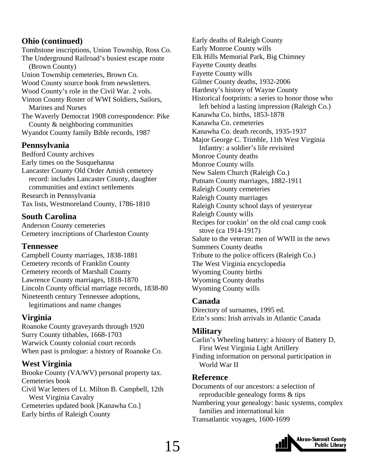#### **Ohio (continued)**

Tombstone inscriptions, Union Township, Ross Co. The Underground Railroad's busiest escape route (Brown County) Union Township cemeteries, Brown Co. Wood County source book from newsletters. Wood County's role in the Civil War. 2 vols. Vinton County Roster of WWI Soldiers, Sailors, Marines and Nurses The Waverly Democrat 1908 correspondence: Pike County & neighboring communities Wyandot County family Bible records, 1987

#### **Pennsylvania**

Bedford County archives Early times on the Susquehanna Lancaster County Old Order Amish cemetery record: includes Lancaster County, daughter communities and extinct settlements Research in Pennsylvania Tax lists, Westmoreland County, 1786-1810

#### **South Carolina**

Anderson County cemeteries Cemetery inscriptions of Charleston County

#### **Tennessee**

Campbell County marriages, 1838-1881 Cemetery records of Franklin County Cemetery records of Marshall County Lawrence County marriages, 1818-1870 Lincoln County official marriage records, 1838-80 Nineteenth century Tennessee adoptions, legitimations and name changes

#### **Virginia**

Roanoke County graveyards through 1920 Surry County tithables, 1668-1703 Warwick County colonial court records When past is prologue: a history of Roanoke Co.

#### **West Virginia**

Brooke County (VA/WV) personal property tax. Cemeteries book Civil War letters of Lt. Milton B. Campbell, 12th West Virginia Cavalry Cemeteries updated book [Kanawha Co.] Early births of Raleigh County

Early deaths of Raleigh County Early Monroe County wills Elk Hills Memorial Park, Big Chimney Fayette County deaths Fayette County wills Gilmer County deaths, 1932-2006 Hardesty's history of Wayne County Historical footprints: a series to honor those who left behind a lasting impression (Raleigh Co.) Kanawha Co. births, 1853-1878 Kanawha Co. cemeteries Kanawha Co. death records, 1935-1937 Major George C. Trimble, 11th West Virginia Infantry: a soldier's life revisited Monroe County deaths Monroe County wills New Salem Church (Raleigh Co.) Putnam County marriages, 1882-1911 Raleigh County cemeteries Raleigh County marriages Raleigh County school days of yesteryear Raleigh County wills Recipes for cookin' on the old coal camp cook stove (ca 1914-1917) Salute to the veteran: men of WWII in the news Summers County deaths Tribute to the police officers (Raleigh Co.) The West Virginia encyclopedia Wyoming County births Wyoming County deaths Wyoming County wills

#### **Canada**

Directory of surnames, 1995 ed. Erin's sons: Irish arrivals in Atlantic Canada

#### **Military**

Carlin's Wheeling battery: a history of Battery D, First West Virginia Light Artillery Finding information on personal participation in World War II

#### **Reference**

Documents of our ancestors: a selection of reproducible genealogy forms & tips Numbering your genealogy: basic systems, complex families and international kin Transatlantic voyages, 1600-1699